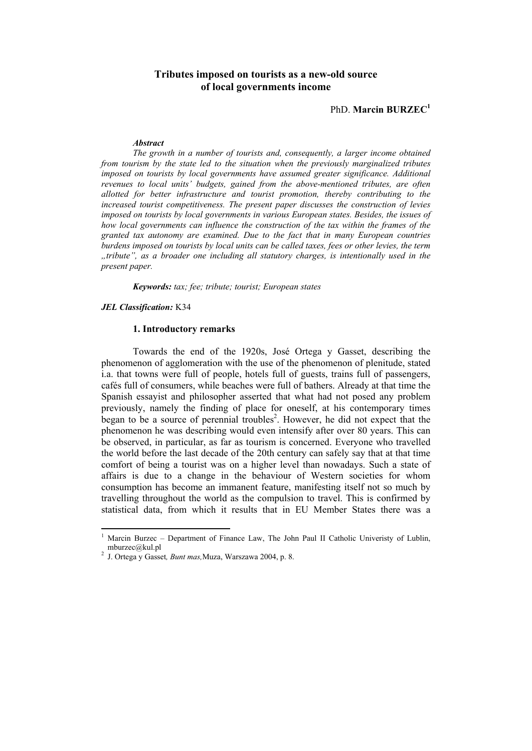# **Tributes imposed on tourists as a new-old source of local governments income**

PhD. **Marcin BURZEC<sup>1</sup>**

#### *Abstract*

*The growth in a number of tourists and, consequently, a larger income obtained from tourism by the state led to the situation when the previously marginalized tributes imposed on tourists by local governments have assumed greater significance. Additional revenues to local units' budgets, gained from the above-mentioned tributes, are often allotted for better infrastructure and tourist promotion, thereby contributing to the increased tourist competitiveness. The present paper discusses the construction of levies imposed on tourists by local governments in various European states. Besides, the issues of how local governments can influence the construction of the tax within the frames of the granted tax autonomy are examined. Due to the fact that in many European countries burdens imposed on tourists by local units can be called taxes, fees or other levies, the term "tribute", as a broader one including all statutory charges, is intentionally used in the present paper.* 

*Keywords: tax; fee; tribute; tourist; European states* 

*JEL Classification:* K34

## **1. Introductory remarks**

Towards the end of the 1920s, José Ortega y Gasset, describing the phenomenon of agglomeration with the use of the phenomenon of plenitude, stated i.a. that towns were full of people, hotels full of guests, trains full of passengers, cafés full of consumers, while beaches were full of bathers. Already at that time the Spanish essayist and philosopher asserted that what had not posed any problem previously, namely the finding of place for oneself, at his contemporary times began to be a source of perennial troubles<sup>2</sup>. However, he did not expect that the phenomenon he was describing would even intensify after over 80 years. This can be observed, in particular, as far as tourism is concerned. Everyone who travelled the world before the last decade of the 20th century can safely say that at that time comfort of being a tourist was on a higher level than nowadays. Such a state of affairs is due to a change in the behaviour of Western societies for whom consumption has become an immanent feature, manifesting itself not so much by travelling throughout the world as the compulsion to travel. This is confirmed by statistical data, from which it results that in EU Member States there was a

<sup>1</sup> Marcin Burzec – Department of Finance Law, The John Paul II Catholic Univeristy of Lublin, mburzec@kul.pl 2

J. Ortega y Gasset*, Bunt mas,*Muza, Warszawa 2004, p. 8.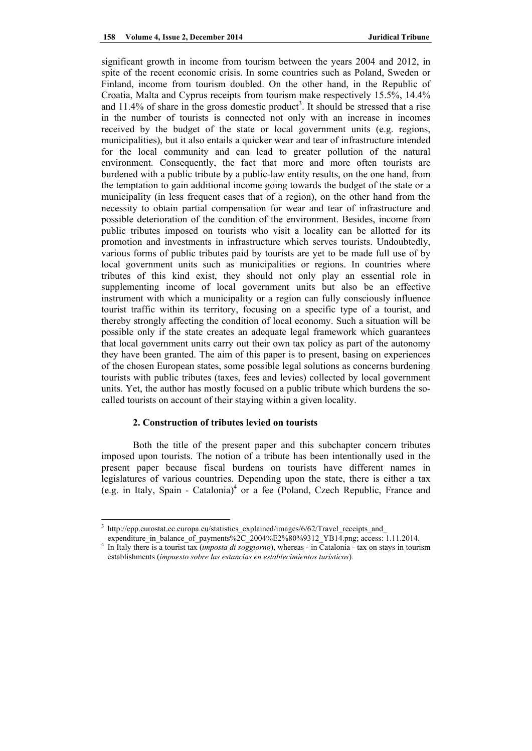significant growth in income from tourism between the years 2004 and 2012, in spite of the recent economic crisis. In some countries such as Poland, Sweden or Finland, income from tourism doubled. On the other hand, in the Republic of Croatia, Malta and Cyprus receipts from tourism make respectively 15.5%, 14.4% and  $11.4\%$  of share in the gross domestic product<sup>3</sup>. It should be stressed that a rise in the number of tourists is connected not only with an increase in incomes received by the budget of the state or local government units (e.g. regions, municipalities), but it also entails a quicker wear and tear of infrastructure intended for the local community and can lead to greater pollution of the natural environment. Consequently, the fact that more and more often tourists are burdened with a public tribute by a public-law entity results, on the one hand, from the temptation to gain additional income going towards the budget of the state or a municipality (in less frequent cases that of a region), on the other hand from the necessity to obtain partial compensation for wear and tear of infrastructure and possible deterioration of the condition of the environment. Besides, income from public tributes imposed on tourists who visit a locality can be allotted for its promotion and investments in infrastructure which serves tourists. Undoubtedly, various forms of public tributes paid by tourists are yet to be made full use of by local government units such as municipalities or regions. In countries where tributes of this kind exist, they should not only play an essential role in supplementing income of local government units but also be an effective instrument with which a municipality or a region can fully consciously influence tourist traffic within its territory, focusing on a specific type of a tourist, and thereby strongly affecting the condition of local economy. Such a situation will be possible only if the state creates an adequate legal framework which guarantees that local government units carry out their own tax policy as part of the autonomy they have been granted. The aim of this paper is to present, basing on experiences of the chosen European states, some possible legal solutions as concerns burdening tourists with public tributes (taxes, fees and levies) collected by local government units. Yet, the author has mostly focused on a public tribute which burdens the socalled tourists on account of their staying within a given locality.

#### **2. Construction of tributes levied on tourists**

Both the title of the present paper and this subchapter concern tributes imposed upon tourists. The notion of a tribute has been intentionally used in the present paper because fiscal burdens on tourists have different names in legislatures of various countries. Depending upon the state, there is either a tax (e.g. in Italy, Spain - Catalonia)<sup>4</sup> or a fee (Poland, Czech Republic, France and

<sup>3</sup> http://epp.eurostat.ec.europa.eu/statistics\_explained/images/6/62/Travel\_receipts\_and

expenditure in balance of payments%2C\_2004%E2%80%9312\_YB14.png; access: 1.11.2014.

In Italy there is a tourist tax (*imposta di soggiorno*), whereas - in Catalonia - tax on stays in tourism establishments (*impuesto sobre las estancias en establecimientos turísticos*).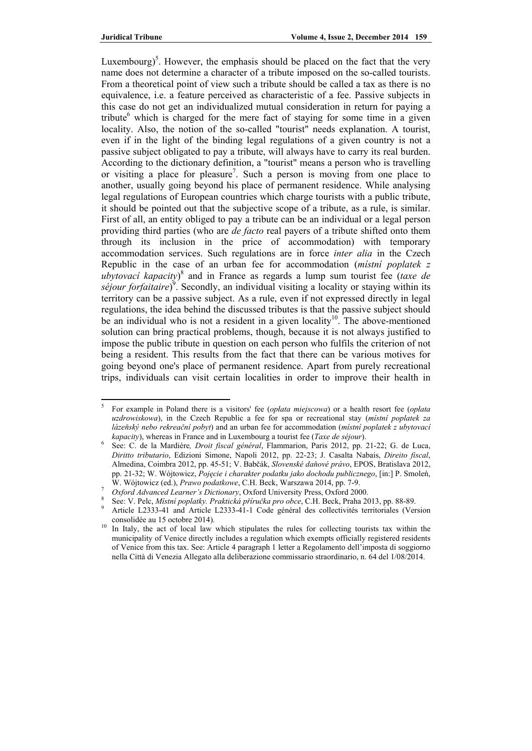Luxembourg)<sup>5</sup>. However, the emphasis should be placed on the fact that the very name does not determine a character of a tribute imposed on the so-called tourists. From a theoretical point of view such a tribute should be called a tax as there is no equivalence, i.e. a feature perceived as characteristic of a fee. Passive subjects in this case do not get an individualized mutual consideration in return for paying a tribute<sup>6</sup> which is charged for the mere fact of staying for some time in a given locality. Also, the notion of the so-called "tourist" needs explanation. A tourist, even if in the light of the binding legal regulations of a given country is not a passive subject obligated to pay a tribute, will always have to carry its real burden. According to the dictionary definition, a "tourist" means a person who is travelling or visiting a place for pleasure<sup>7</sup>. Such a person is moving from one place to another, usually going beyond his place of permanent residence. While analysing legal regulations of European countries which charge tourists with a public tribute, it should be pointed out that the subjective scope of a tribute, as a rule, is similar. First of all, an entity obliged to pay a tribute can be an individual or a legal person providing third parties (who are *de facto* real payers of a tribute shifted onto them through its inclusion in the price of accommodation) with temporary accommodation services. Such regulations are in force *inter alia* in the Czech Republic in the case of an urban fee for accommodation (*místní poplatek z ubytovací kapacity*) 8 and in France as regards a lump sum tourist fee (*taxe de*  séjour forfaitaire)<sup>9</sup>. Secondly, an individual visiting a locality or staying within its territory can be a passive subject. As a rule, even if not expressed directly in legal regulations, the idea behind the discussed tributes is that the passive subject should be an individual who is not a resident in a given locality<sup>10</sup>. The above-mentioned solution can bring practical problems, though, because it is not always justified to impose the public tribute in question on each person who fulfils the criterion of not being a resident. This results from the fact that there can be various motives for going beyond one's place of permanent residence. Apart from purely recreational trips, individuals can visit certain localities in order to improve their health in

<sup>5</sup> For example in Poland there is a visitors' fee (*opłata miejscowa*) or a health resort fee (*opłata uzdrowiskowa*), in the Czech Republic a fee for spa or recreational stay (*místní poplatek za lázeňský nebo rekreační pobyt*) and an urban fee for accommodation (*místní poplatek z ubytovací kapacity*), whereas in France and in Luxembourg a tourist fee (*Taxe de séjour*).

See: C. de la Mardière*, Droit fiscal général*, Flammarion, Paris 2012, pp. 21-22; G. de Luca, *Diritto tributario*, Edizioni Simone, Napoli 2012, pp. 22-23; J. Casalta Nabais, *Direito fiscal*, Almedina, Coimbra 2012, pp. 45-51; V. Babčák, *Slovenské daňové právo*, EPOS, Bratislava 2012, pp. 21-32; W. Wójtowicz, *Pojęcie i charakter podatku jako dochodu publicznego*, [in:] P. Smoleń, W. Wójtowicz (ed.), *Prawo podatkowe*, C.H. Beck, Warszawa 2014, pp. 7-9.

<sup>&</sup>lt;sup>7</sup> Oxford Advanced Learner's Dictionary, Oxford University Press, Oxford 2000.

See: V. Pelc, *Místní poplatky. Praktická příručka pro obce*, C.H. Beck, Praha 2013, pp. 88-89.

Article L2333-41 and Article L2333-41-1 Code général des collectivités territoriales (Version

consolidée au 15 octobre 2014). 10 In Italy, the act of local law which stipulates the rules for collecting tourists tax within the municipality of Venice directly includes a regulation which exempts officially registered residents of Venice from this tax. See: Article 4 paragraph 1 letter a Regolamento dell'imposta di soggiorno nella Città di Venezia Allegato alla deliberazione commissario straordinario, n. 64 del 1/08/2014.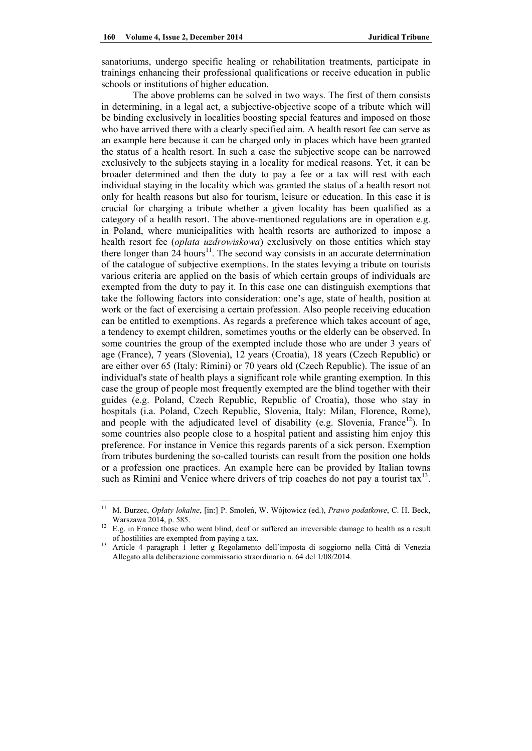sanatoriums, undergo specific healing or rehabilitation treatments, participate in trainings enhancing their professional qualifications or receive education in public schools or institutions of higher education.

The above problems can be solved in two ways. The first of them consists in determining, in a legal act, a subjective-objective scope of a tribute which will be binding exclusively in localities boosting special features and imposed on those who have arrived there with a clearly specified aim. A health resort fee can serve as an example here because it can be charged only in places which have been granted the status of a health resort. In such a case the subjective scope can be narrowed exclusively to the subjects staying in a locality for medical reasons. Yet, it can be broader determined and then the duty to pay a fee or a tax will rest with each individual staying in the locality which was granted the status of a health resort not only for health reasons but also for tourism, leisure or education. In this case it is crucial for charging a tribute whether a given locality has been qualified as a category of a health resort. The above-mentioned regulations are in operation e.g. in Poland, where municipalities with health resorts are authorized to impose a health resort fee (*opłata uzdrowiskowa*) exclusively on those entities which stay there longer than 24 hours<sup>11</sup>. The second way consists in an accurate determination of the catalogue of subjective exemptions. In the states levying a tribute on tourists various criteria are applied on the basis of which certain groups of individuals are exempted from the duty to pay it. In this case one can distinguish exemptions that take the following factors into consideration: one's age, state of health, position at work or the fact of exercising a certain profession. Also people receiving education can be entitled to exemptions. As regards a preference which takes account of age, a tendency to exempt children, sometimes youths or the elderly can be observed. In some countries the group of the exempted include those who are under 3 years of age (France), 7 years (Slovenia), 12 years (Croatia), 18 years (Czech Republic) or are either over 65 (Italy: Rimini) or 70 years old (Czech Republic). The issue of an individual's state of health plays a significant role while granting exemption. In this case the group of people most frequently exempted are the blind together with their guides (e.g. Poland, Czech Republic, Republic of Croatia), those who stay in hospitals (i.a. Poland, Czech Republic, Slovenia, Italy: Milan, Florence, Rome), and people with the adjudicated level of disability (e.g. Slovenia, France<sup>12</sup>). In some countries also people close to a hospital patient and assisting him enjoy this preference. For instance in Venice this regards parents of a sick person. Exemption from tributes burdening the so-called tourists can result from the position one holds or a profession one practices. An example here can be provided by Italian towns such as Rimini and Venice where drivers of trip coaches do not pay a tourist tax<sup>13</sup>.

<sup>11</sup> M. Burzec, *Opłaty lokalne*, [in:] P. Smoleń, W. Wójtowicz (ed.), *Prawo podatkowe*, C. H. Beck, Warszawa 2014, p. 585.<br><sup>12</sup> E.g. in France those who went blind, deaf or suffered an irreversible damage to health as a result

of hostilities are exempted from paying a tax. 13 Article 4 paragraph 1 letter g Regolamento dell'imposta di soggiorno nella Città di Venezia

Allegato alla deliberazione commissario straordinario n. 64 del 1/08/2014.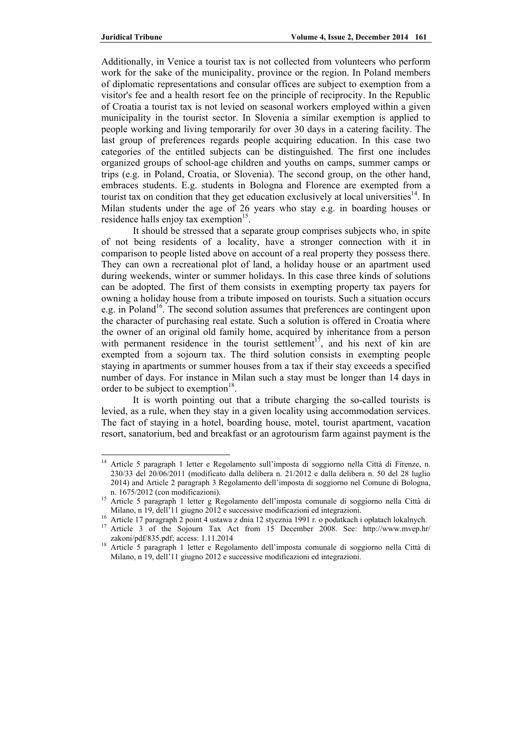Additionally, in Venice a tourist tax is not collected from volunteers who perform work for the sake of the municipality, province or the region. In Poland members of diplomatic representations and consular offices are subject to exemption from a visitor's fee and a health resort fee on the principle of reciprocity. In the Republic of Croatia a tourist tax is not levied on seasonal workers employed within a given municipality in the tourist sector. In Slovenia a similar exemption is applied to people working and living temporarily for over 30 days in a catering facility. The last group of preferences regards people acquiring education. In this case two categories of the entitled subjects can be distinguished. The first one includes organized groups of school-age children and youths on camps, summer camps or trips (e.g. in Poland, Croatia, or Slovenia). The second group, on the other hand, embraces students. E.g. students in Bologna and Florence are exempted from a tourist tax on condition that they get education exclusively at local universities<sup>14</sup>. In Milan students under the age of 26 years who stay e.g. in boarding houses or residence halls enjoy tax exemption<sup>15</sup>.

 It should be stressed that a separate group comprises subjects who, in spite of not being residents of a locality, have a stronger connection with it in comparison to people listed above on account of a real property they possess there. They can own a recreational plot of land, a holiday house or an apartment used during weekends, winter or summer holidays. In this case three kinds of solutions can be adopted. The first of them consists in exempting property tax payers for owning a holiday house from a tribute imposed on tourists. Such a situation occurs e.g. in Poland<sup>16</sup>. The second solution assumes that preferences are contingent upon the character of purchasing real estate. Such a solution is offered in Croatia where the owner of an original old family home, acquired by inheritance from a person with permanent residence in the tourist settlement<sup>17</sup>, and his next of kin are exempted from a sojourn tax. The third solution consists in exempting people staying in apartments or summer houses from a tax if their stay exceeds a specified number of days. For instance in Milan such a stay must be longer than 14 days in order to be subject to exemption<sup>18</sup>.

 It is worth pointing out that a tribute charging the so-called tourists is levied, as a rule, when they stay in a given locality using accommodation services. The fact of staying in a hotel, boarding house, motel, tourist apartment, vacation resort, sanatorium, bed and breakfast or an agrotourism farm against payment is the

<sup>&</sup>lt;sup>14</sup> Article 5 paragraph 1 letter e Regolamento sull'imposta di soggiorno nella Città di Firenze, n. 230/33 del 20/06/2011 (modificato dalla delibera n. 21/2012 e dalla delibera n. 50 del 28 luglio 2014) and Article 2 paragraph 3 Regolamento dell'imposta di soggiorno nel Comune di Bologna,

n. 1675/2012 (con modificazioni).<br>Article 5 paragraph 1 letter g Regolamento dell'imposta comunale di soggiorno nella Città di Milano, n 19, dell'11 giugno 2012 e successive modificazioni ed integrazioni.<br><sup>16</sup> Article 17 paragraph 2 point 4 ustawa z dnia 12 stycznia 1991 r. o podatkach i opłatach lokalnych.<br><sup>17</sup> Article 3 of the Sojourn Tax Act fr

zakoni/pdf/835.pdf; access: 1.11.2014<br><sup>18</sup> Article 5 paragraph 1 letter e Regolamento dell'imposta comunale di soggiorno nella Città di

Milano, n 19, dell'11 giugno 2012 e successive modificazioni ed integrazioni.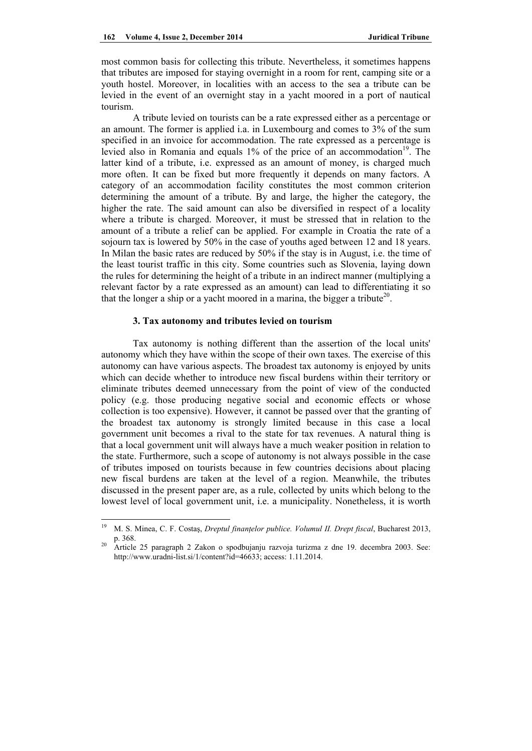most common basis for collecting this tribute. Nevertheless, it sometimes happens that tributes are imposed for staying overnight in a room for rent, camping site or a youth hostel. Moreover, in localities with an access to the sea a tribute can be levied in the event of an overnight stay in a yacht moored in a port of nautical tourism.

 A tribute levied on tourists can be a rate expressed either as a percentage or an amount. The former is applied i.a. in Luxembourg and comes to 3% of the sum specified in an invoice for accommodation. The rate expressed as a percentage is levied also in Romania and equals  $1\%$  of the price of an accommodation<sup>19</sup>. The latter kind of a tribute, i.e. expressed as an amount of money, is charged much more often. It can be fixed but more frequently it depends on many factors. A category of an accommodation facility constitutes the most common criterion determining the amount of a tribute. By and large, the higher the category, the higher the rate. The said amount can also be diversified in respect of a locality where a tribute is charged. Moreover, it must be stressed that in relation to the amount of a tribute a relief can be applied. For example in Croatia the rate of a sojourn tax is lowered by 50% in the case of youths aged between 12 and 18 years. In Milan the basic rates are reduced by 50% if the stay is in August, i.e. the time of the least tourist traffic in this city. Some countries such as Slovenia, laying down the rules for determining the height of a tribute in an indirect manner (multiplying a relevant factor by a rate expressed as an amount) can lead to differentiating it so that the longer a ship or a yacht moored in a marina, the bigger a tribute<sup>20</sup>.

# **3. Tax autonomy and tributes levied on tourism**

Tax autonomy is nothing different than the assertion of the local units' autonomy which they have within the scope of their own taxes. The exercise of this autonomy can have various aspects. The broadest tax autonomy is enjoyed by units which can decide whether to introduce new fiscal burdens within their territory or eliminate tributes deemed unnecessary from the point of view of the conducted policy (e.g. those producing negative social and economic effects or whose collection is too expensive). However, it cannot be passed over that the granting of the broadest tax autonomy is strongly limited because in this case a local government unit becomes a rival to the state for tax revenues. A natural thing is that a local government unit will always have a much weaker position in relation to the state. Furthermore, such a scope of autonomy is not always possible in the case of tributes imposed on tourists because in few countries decisions about placing new fiscal burdens are taken at the level of a region. Meanwhile, the tributes discussed in the present paper are, as a rule, collected by units which belong to the lowest level of local government unit, i.e. a municipality. Nonetheless, it is worth

<sup>19</sup> M. S. Minea, C. F. Costaş, *Dreptul finanţelor publice. Volumul II. Drept fiscal*, Bucharest 2013, p. 368. 20 Article 25 paragraph 2 Zakon o spodbujanju razvoja turizma z dne 19. decembra 2003. See:

http://www.uradni-list.si/1/content?id=46633; access: 1.11.2014.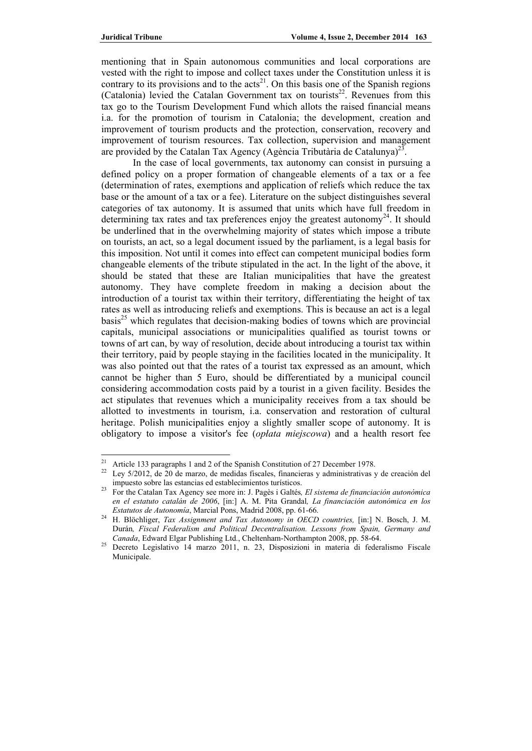mentioning that in Spain autonomous communities and local corporations are vested with the right to impose and collect taxes under the Constitution unless it is contrary to its provisions and to the  $\arctan(21)$ . On this basis one of the Spanish regions (Catalonia) levied the Catalan Government tax on tourists<sup>22</sup>. Revenues from this tax go to the Tourism Development Fund which allots the raised financial means i.a. for the promotion of tourism in Catalonia; the development, creation and improvement of tourism products and the protection, conservation, recovery and improvement of tourism resources. Tax collection, supervision and management are provided by the Catalan Tax Agency (Agència Tributària de Catalunya)<sup>23</sup>.

 In the case of local governments, tax autonomy can consist in pursuing a defined policy on a proper formation of changeable elements of a tax or a fee (determination of rates, exemptions and application of reliefs which reduce the tax base or the amount of a tax or a fee). Literature on the subject distinguishes several categories of tax autonomy. It is assumed that units which have full freedom in determining tax rates and tax preferences enjoy the greatest autonomy<sup>24</sup>. It should be underlined that in the overwhelming majority of states which impose a tribute on tourists, an act, so a legal document issued by the parliament, is a legal basis for this imposition. Not until it comes into effect can competent municipal bodies form changeable elements of the tribute stipulated in the act. In the light of the above, it should be stated that these are Italian municipalities that have the greatest autonomy. They have complete freedom in making a decision about the introduction of a tourist tax within their territory, differentiating the height of tax rates as well as introducing reliefs and exemptions. This is because an act is a legal  $basis<sup>25</sup>$  which regulates that decision-making bodies of towns which are provincial capitals, municipal associations or municipalities qualified as tourist towns or towns of art can, by way of resolution, decide about introducing a tourist tax within their territory, paid by people staying in the facilities located in the municipality. It was also pointed out that the rates of a tourist tax expressed as an amount, which cannot be higher than 5 Euro, should be differentiated by a municipal council considering accommodation costs paid by a tourist in a given facility. Besides the act stipulates that revenues which a municipality receives from a tax should be allotted to investments in tourism, i.a. conservation and restoration of cultural heritage. Polish municipalities enjoy a slightly smaller scope of autonomy. It is obligatory to impose a visitor's fee (*opłata miejscowa*) and a health resort fee

<sup>&</sup>lt;sup>21</sup> Article 133 paragraphs 1 and 2 of the Spanish Constitution of 27 December 1978.

<sup>&</sup>lt;sup>22</sup> Lev 5/2012, de 20 de marzo, de medidas fiscales, financieras y administrativas y de creación del impuesto sobre las estancias ed establecimientos turísticos. 23 For the Catalan Tax Agency see more in: J. Pagès i Galtés*, El sistema de financiación autonómica* 

*en el estatuto catalán de 2006*, [in:] A. M. Pita Grandal*, La financiación autonómica en los* 

*Estatutos de Autonomía*, Marcial Pons, Madrid 2008, pp. 61-66. 24 H. Blöchliger, *Tax Assignment and Tax Autonomy in OECD countries,* [in:] N. Bosch, J. M. Durán*, Fiscal Federalism and Political Decentralisation. Lessons from Spain, Germany and* 

*Canada*, Edward Elgar Publishing Ltd., Cheltenham-Northampton 2008, pp. 58-64. 25 Decreto Legislativo 14 marzo 2011, n. 23, Disposizioni in materia di federalismo Fiscale Municipale.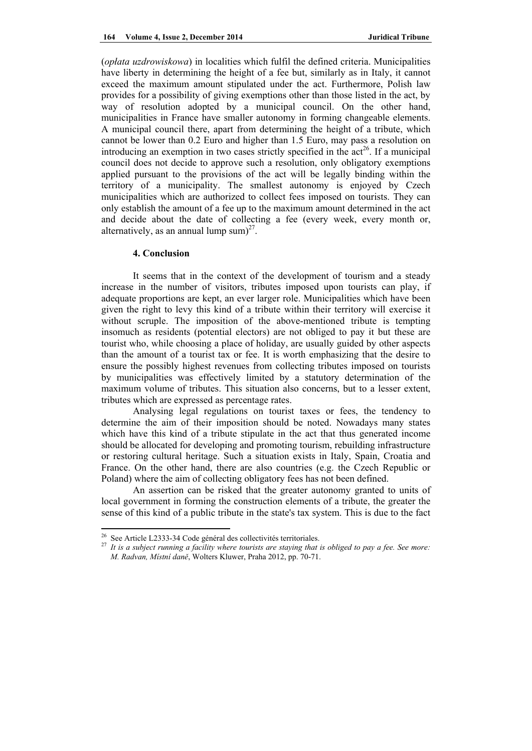(*opłata uzdrowiskowa*) in localities which fulfil the defined criteria. Municipalities have liberty in determining the height of a fee but, similarly as in Italy, it cannot exceed the maximum amount stipulated under the act. Furthermore, Polish law provides for a possibility of giving exemptions other than those listed in the act, by way of resolution adopted by a municipal council. On the other hand, municipalities in France have smaller autonomy in forming changeable elements. A municipal council there, apart from determining the height of a tribute, which cannot be lower than 0.2 Euro and higher than 1.5 Euro, may pass a resolution on introducing an exemption in two cases strictly specified in the  $\arctan 26$ . If a municipal council does not decide to approve such a resolution, only obligatory exemptions applied pursuant to the provisions of the act will be legally binding within the territory of a municipality. The smallest autonomy is enjoyed by Czech municipalities which are authorized to collect fees imposed on tourists. They can only establish the amount of a fee up to the maximum amount determined in the act and decide about the date of collecting a fee (every week, every month or, alternatively, as an annual lump sum $)^{27}$ .

#### **4. Conclusion**

It seems that in the context of the development of tourism and a steady increase in the number of visitors, tributes imposed upon tourists can play, if adequate proportions are kept, an ever larger role. Municipalities which have been given the right to levy this kind of a tribute within their territory will exercise it without scruple. The imposition of the above-mentioned tribute is tempting insomuch as residents (potential electors) are not obliged to pay it but these are tourist who, while choosing a place of holiday, are usually guided by other aspects than the amount of a tourist tax or fee. It is worth emphasizing that the desire to ensure the possibly highest revenues from collecting tributes imposed on tourists by municipalities was effectively limited by a statutory determination of the maximum volume of tributes. This situation also concerns, but to a lesser extent, tributes which are expressed as percentage rates.

 Analysing legal regulations on tourist taxes or fees, the tendency to determine the aim of their imposition should be noted. Nowadays many states which have this kind of a tribute stipulate in the act that thus generated income should be allocated for developing and promoting tourism, rebuilding infrastructure or restoring cultural heritage. Such a situation exists in Italy, Spain, Croatia and France. On the other hand, there are also countries (e.g. the Czech Republic or Poland) where the aim of collecting obligatory fees has not been defined.

An assertion can be risked that the greater autonomy granted to units of local government in forming the construction elements of a tribute, the greater the sense of this kind of a public tribute in the state's tax system. This is due to the fact

 $26$  See Article L2333-34 Code général des collectivités territoriales.

<sup>27</sup> *It is a subject running a facility where tourists are staying that is obliged to pay a fee. See more: M. Radvan, Místní daně*, Wolters Kluwer, Praha 2012, pp. 70-71.